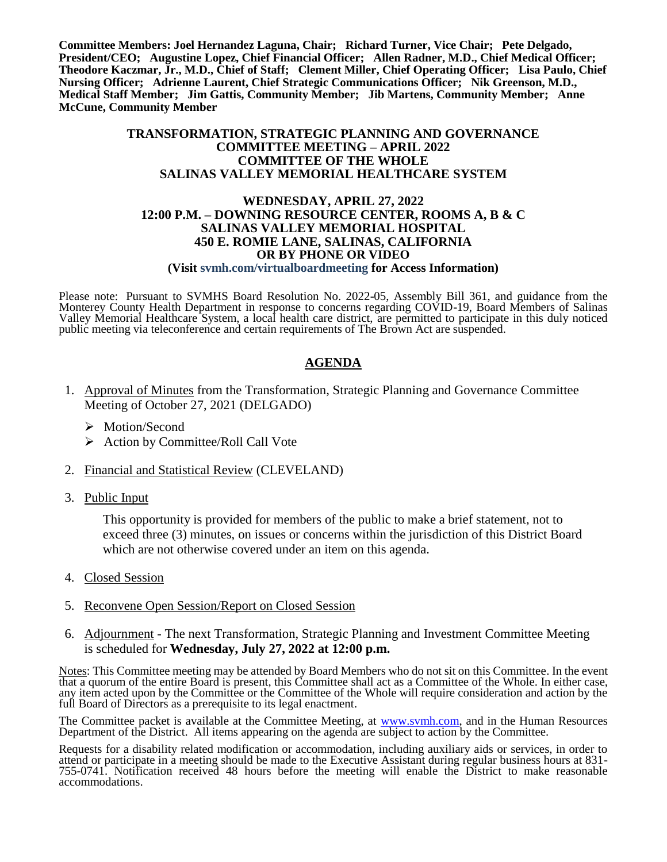**Committee Members: Joel Hernandez Laguna, Chair; Richard Turner, Vice Chair; Pete Delgado, President/CEO; Augustine Lopez, Chief Financial Officer; Allen Radner, M.D., Chief Medical Officer; Theodore Kaczmar, Jr., M.D., Chief of Staff; Clement Miller, Chief Operating Officer; Lisa Paulo, Chief Nursing Officer; Adrienne Laurent, Chief Strategic Communications Officer; Nik Greenson, M.D., Medical Staff Member; Jim Gattis, Community Member; Jib Martens, Community Member; Anne McCune, Community Member**

### **TRANSFORMATION, STRATEGIC PLANNING AND GOVERNANCE COMMITTEE MEETING – APRIL 2022 COMMITTEE OF THE WHOLE SALINAS VALLEY MEMORIAL HEALTHCARE SYSTEM**

### **WEDNESDAY, APRIL 27, 2022 12:00 P.M. – DOWNING RESOURCE CENTER, ROOMS A, B & C SALINAS VALLEY MEMORIAL HOSPITAL 450 E. ROMIE LANE, SALINAS, CALIFORNIA OR BY PHONE OR VIDEO**

#### **(Visit svmh.com/virtualboardmeeting for Access Information)**

Please note: Pursuant to SVMHS Board Resolution No. 2022-05, Assembly Bill 361, and guidance from the Monterey County Health Department in response to concerns regarding COVID-19, Board Members of Salinas Valley Memorial Healthcare System, a local health care district, are permitted to participate in this duly noticed public meeting via teleconference and certain requirements of The Brown Act are suspended.

### **AGENDA**

- 1. Approval of Minutes from the Transformation, Strategic Planning and Governance Committee Meeting of October 27, 2021 (DELGADO)
	- > Motion/Second
	- $\triangleright$  Action by Committee/Roll Call Vote
- 2. Financial and Statistical Review (CLEVELAND)
- 3. Public Input

This opportunity is provided for members of the public to make a brief statement, not to exceed three (3) minutes, on issues or concerns within the jurisdiction of this District Board which are not otherwise covered under an item on this agenda.

- 4. Closed Session
- 5. Reconvene Open Session/Report on Closed Session
- 6. Adjournment The next Transformation, Strategic Planning and Investment Committee Meeting is scheduled for **Wednesday, July 27, 2022 at 12:00 p.m.**

Notes: This Committee meeting may be attended by Board Members who do not sit on this Committee. In the event that a quorum of the entire Board is present, this Committee shall act as a Committee of the Whole. In either case, any item acted upon by the Committee or the Committee of the Whole will require consideration and action by the full Board of Directors as a prerequisite to its legal enactment.

The Committee packet is available at the Committee Meeting, at [www.svmh.com,](http://www.svmh.com/) and in the Human Resources Department of the District. All items appearing on the agenda are subject to action by the Committee.

Requests for a disability related modification or accommodation, including auxiliary aids or services, in order to attend or participate in a meeting should be made to the Executive Assistant during regular business hours at 831- 755-0741. Notification received 48 hours before the meeting will enable the District to make reasonable accommodations.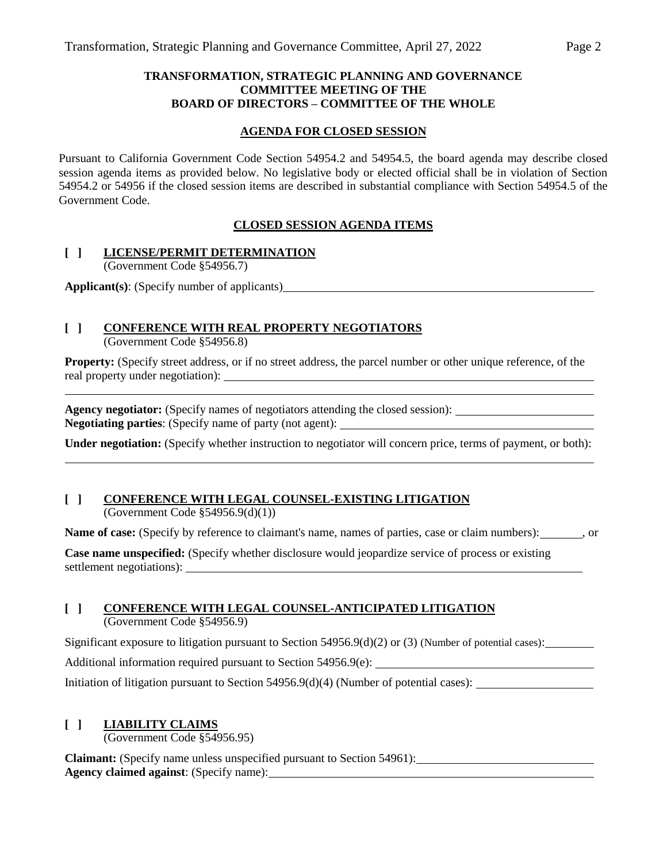### **TRANSFORMATION, STRATEGIC PLANNING AND GOVERNANCE COMMITTEE MEETING OF THE BOARD OF DIRECTORS – COMMITTEE OF THE WHOLE**

### **AGENDA FOR CLOSED SESSION**

Pursuant to California Government Code Section 54954.2 and 54954.5, the board agenda may describe closed session agenda items as provided below. No legislative body or elected official shall be in violation of Section 54954.2 or 54956 if the closed session items are described in substantial compliance with Section 54954.5 of the Government Code.

### **CLOSED SESSION AGENDA ITEMS**

### **[ ] LICENSE/PERMIT DETERMINATION**

(Government Code §54956.7)

**Applicant(s)**: (Specify number of applicants)

### **[ ] CONFERENCE WITH REAL PROPERTY NEGOTIATORS**

(Government Code §54956.8)

**Property:** (Specify street address, or if no street address, the parcel number or other unique reference, of the real property under negotiation):

**Agency negotiator:** (Specify names of negotiators attending the closed session): **Negotiating parties**: (Specify name of party (not agent):

**Under negotiation:** (Specify whether instruction to negotiator will concern price, terms of payment, or both):

### **[ ] CONFERENCE WITH LEGAL COUNSEL-EXISTING LITIGATION** (Government Code §54956.9(d)(1))

Name of case: (Specify by reference to claimant's name, names of parties, case or claim numbers): or

**Case name unspecified:** (Specify whether disclosure would jeopardize service of process or existing settlement negotiations):

# **[ ] CONFERENCE WITH LEGAL COUNSEL-ANTICIPATED LITIGATION**

(Government Code §54956.9)

Significant exposure to litigation pursuant to Section  $54956.9(d)(2)$  or (3) (Number of potential cases):

Additional information required pursuant to Section 54956.9(e):

Initiation of litigation pursuant to Section 54956.9(d)(4) (Number of potential cases):

### **[ ] LIABILITY CLAIMS**

(Government Code §54956.95)

**Claimant:** (Specify name unless unspecified pursuant to Section 54961): **Agency claimed against**: (Specify name):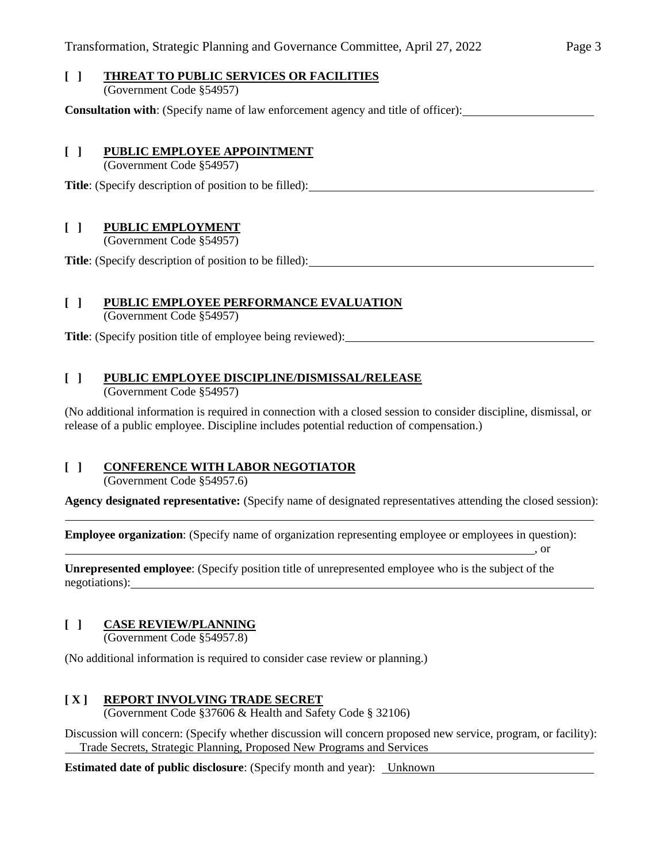# **[ ] THREAT TO PUBLIC SERVICES OR FACILITIES**

(Government Code §54957)

**Consultation with**: (Specify name of law enforcement agency and title of officer):

### **[ ] PUBLIC EMPLOYEE APPOINTMENT**

(Government Code §54957)

**Title**: (Specify description of position to be filled):

## **[ ] PUBLIC EMPLOYMENT**

(Government Code §54957)

**Title**: (Specify description of position to be filled):

## **[ ] PUBLIC EMPLOYEE PERFORMANCE EVALUATION**

(Government Code §54957)

**Title**: (Specify position title of employee being reviewed):

## **[ ] PUBLIC EMPLOYEE DISCIPLINE/DISMISSAL/RELEASE**

(Government Code §54957)

(No additional information is required in connection with a closed session to consider discipline, dismissal, or release of a public employee. Discipline includes potential reduction of compensation.)

# **[ ] CONFERENCE WITH LABOR NEGOTIATOR**

(Government Code §54957.6)

**Agency designated representative:** (Specify name of designated representatives attending the closed session):

, or

**Employee organization**: (Specify name of organization representing employee or employees in question):

**Unrepresented employee**: (Specify position title of unrepresented employee who is the subject of the negotiations):

# **[ ] CASE REVIEW/PLANNING**

(Government Code §54957.8)

(No additional information is required to consider case review or planning.)

# **[ X ] REPORT INVOLVING TRADE SECRET**

(Government Code §37606 & Health and Safety Code § 32106)

Discussion will concern: (Specify whether discussion will concern proposed new service, program, or facility): Trade Secrets, Strategic Planning, Proposed New Programs and Services

**Estimated date of public disclosure**: (Specify month and year): Unknown